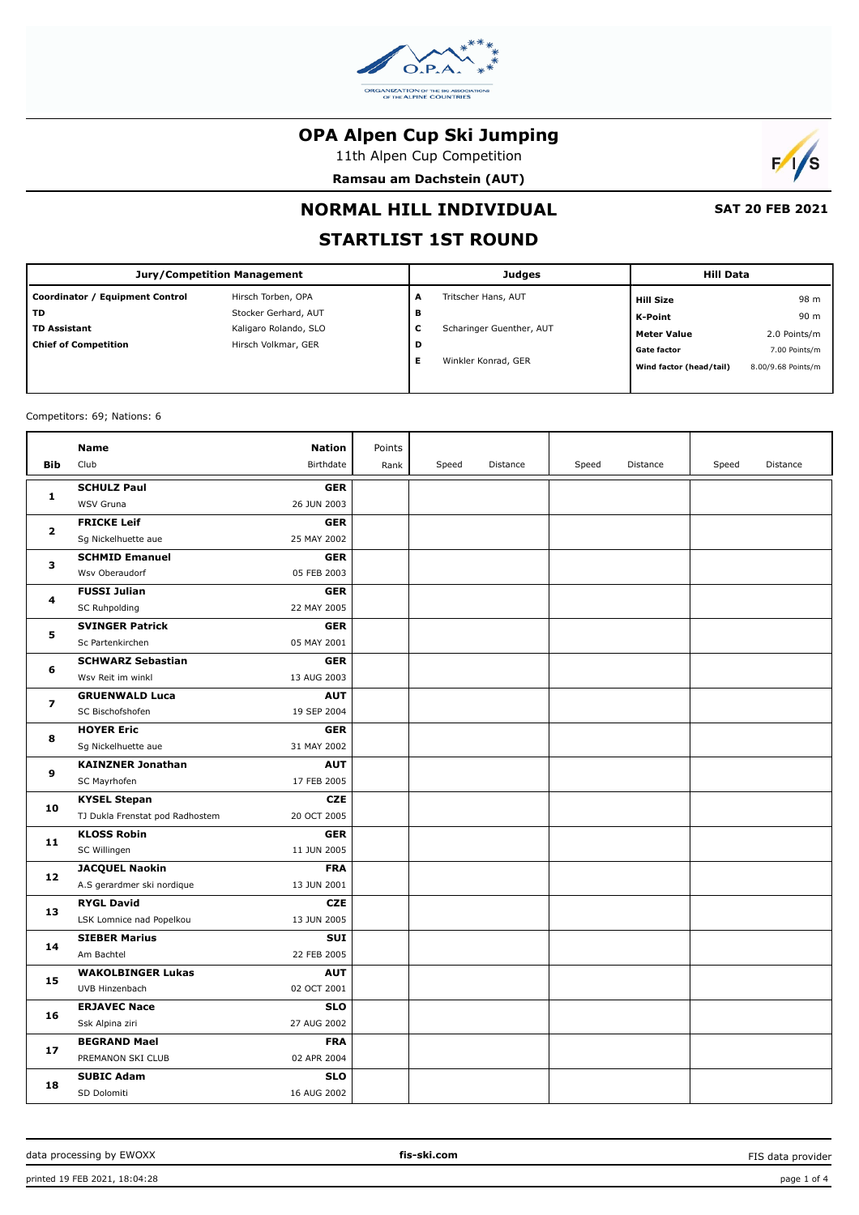

11th Alpen Cup Competition

**Ramsau am Dachstein (AUT)**



# **NORMAL HILL INDIVIDUAL**

 **SAT 20 FEB 2021**

# **STARTLIST 1ST ROUND**

| <b>Jury/Competition Management</b> |                       |   | <b>Judges</b>            | <b>Hill Data</b>        |                    |  |
|------------------------------------|-----------------------|---|--------------------------|-------------------------|--------------------|--|
| Coordinator / Equipment Control    | Hirsch Torben, OPA    | A | Tritscher Hans, AUT      | <b>Hill Size</b>        | 98 m               |  |
| <b>TD</b>                          | Stocker Gerhard, AUT  | в |                          | K-Point                 | 90 m               |  |
| <b>TD Assistant</b>                | Kaligaro Rolando, SLO | с | Scharinger Guenther, AUT | <b>Meter Value</b>      | 2.0 Points/m       |  |
| <b>Chief of Competition</b>        | Hirsch Volkmar, GER   | D |                          | <b>Gate factor</b>      | 7.00 Points/m      |  |
|                                    |                       | Е | Winkler Konrad, GER      | Wind factor (head/tail) | 8.00/9.68 Points/m |  |
|                                    |                       |   |                          |                         |                    |  |

Competitors: 69; Nations: 6

| <b>Bib</b>   | <b>Nation</b><br>Name<br>Club<br>Birthdate     | Points<br>Rank | Speed | Distance | Speed | Distance | Speed | Distance |
|--------------|------------------------------------------------|----------------|-------|----------|-------|----------|-------|----------|
|              |                                                |                |       |          |       |          |       |          |
| 1            | <b>SCHULZ Paul</b>                             | <b>GER</b>     |       |          |       |          |       |          |
|              | WSV Gruna<br>26 JUN 2003                       |                |       |          |       |          |       |          |
| $\mathbf{2}$ | <b>FRICKE Leif</b>                             | <b>GER</b>     |       |          |       |          |       |          |
|              | Sg Nickelhuette aue<br>25 MAY 2002             |                |       |          |       |          |       |          |
| 3            | <b>SCHMID Emanuel</b>                          | <b>GER</b>     |       |          |       |          |       |          |
|              | Wsv Oberaudorf<br>05 FEB 2003                  |                |       |          |       |          |       |          |
| 4            | <b>FUSSI Julian</b>                            | <b>GER</b>     |       |          |       |          |       |          |
|              | 22 MAY 2005<br>SC Ruhpolding                   |                |       |          |       |          |       |          |
| 5            | <b>SVINGER Patrick</b>                         | <b>GER</b>     |       |          |       |          |       |          |
|              | Sc Partenkirchen<br>05 MAY 2001                |                |       |          |       |          |       |          |
| 6            | <b>SCHWARZ Sebastian</b>                       | <b>GER</b>     |       |          |       |          |       |          |
|              | Wsv Reit im winkl<br>13 AUG 2003               |                |       |          |       |          |       |          |
| 7            | <b>GRUENWALD Luca</b>                          | <b>AUT</b>     |       |          |       |          |       |          |
|              | 19 SEP 2004<br>SC Bischofshofen                |                |       |          |       |          |       |          |
| 8            | <b>HOYER Eric</b>                              | <b>GER</b>     |       |          |       |          |       |          |
|              | Sg Nickelhuette aue<br>31 MAY 2002             |                |       |          |       |          |       |          |
| 9            | <b>KAINZNER Jonathan</b>                       | <b>AUT</b>     |       |          |       |          |       |          |
|              | SC Mayrhofen<br>17 FEB 2005                    |                |       |          |       |          |       |          |
| 10           | <b>KYSEL Stepan</b>                            | <b>CZE</b>     |       |          |       |          |       |          |
|              | 20 OCT 2005<br>TJ Dukla Frenstat pod Radhostem |                |       |          |       |          |       |          |
| 11           | <b>KLOSS Robin</b>                             | <b>GER</b>     |       |          |       |          |       |          |
|              | SC Willingen<br>11 JUN 2005                    |                |       |          |       |          |       |          |
| 12           | <b>JACQUEL Naokin</b>                          | <b>FRA</b>     |       |          |       |          |       |          |
|              | A.S gerardmer ski nordique<br>13 JUN 2001      |                |       |          |       |          |       |          |
| 13           | <b>RYGL David</b>                              | <b>CZE</b>     |       |          |       |          |       |          |
|              | LSK Lomnice nad Popelkou<br>13 JUN 2005        |                |       |          |       |          |       |          |
| 14           | <b>SIEBER Marius</b>                           | <b>SUI</b>     |       |          |       |          |       |          |
|              | 22 FEB 2005<br>Am Bachtel                      |                |       |          |       |          |       |          |
|              | <b>WAKOLBINGER Lukas</b>                       | <b>AUT</b>     |       |          |       |          |       |          |
| 15           | UVB Hinzenbach<br>02 OCT 2001                  |                |       |          |       |          |       |          |
|              | <b>ERJAVEC Nace</b>                            | <b>SLO</b>     |       |          |       |          |       |          |
| 16           | 27 AUG 2002<br>Ssk Alpina ziri                 |                |       |          |       |          |       |          |
|              | <b>BEGRAND Mael</b>                            | <b>FRA</b>     |       |          |       |          |       |          |
| 17           | PREMANON SKI CLUB<br>02 APR 2004               |                |       |          |       |          |       |          |
|              | <b>SUBIC Adam</b>                              | <b>SLO</b>     |       |          |       |          |       |          |
| 18           | 16 AUG 2002<br>SD Dolomiti                     |                |       |          |       |          |       |          |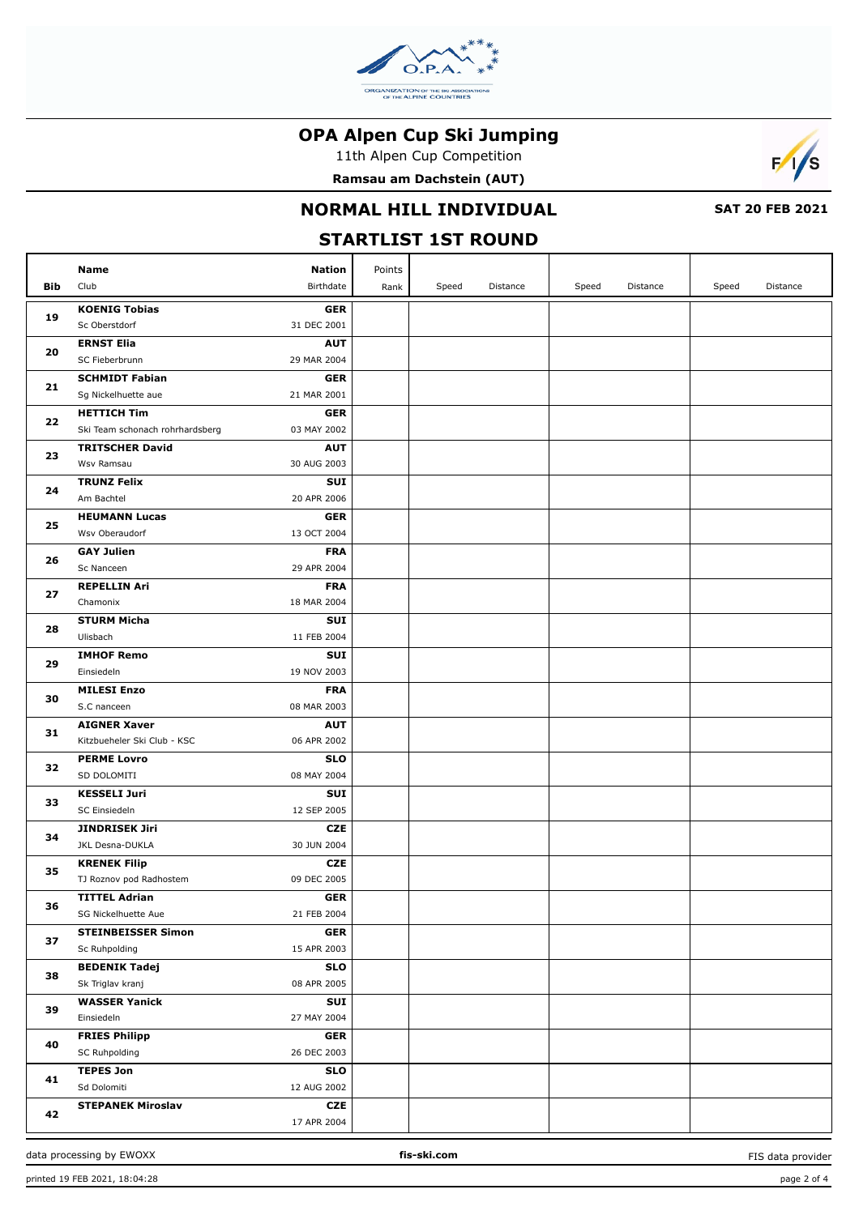

11th Alpen Cup Competition

**Ramsau am Dachstein (AUT)**



### **NORMAL HILL INDIVIDUAL**

 **SAT 20 FEB 2021**

## **STARTLIST 1ST ROUND**

|          | Name                            | Nation      | Points |       |          |       |          |       |          |
|----------|---------------------------------|-------------|--------|-------|----------|-------|----------|-------|----------|
| Bib      | Club                            | Birthdate   | Rank   | Speed | Distance | Speed | Distance | Speed | Distance |
| 19       | <b>KOENIG Tobias</b>            | <b>GER</b>  |        |       |          |       |          |       |          |
|          | Sc Oberstdorf                   | 31 DEC 2001 |        |       |          |       |          |       |          |
| 20       | <b>ERNST Elia</b>               | <b>AUT</b>  |        |       |          |       |          |       |          |
|          | SC Fieberbrunn                  | 29 MAR 2004 |        |       |          |       |          |       |          |
|          | <b>SCHMIDT Fabian</b>           | <b>GER</b>  |        |       |          |       |          |       |          |
| 21       | Sg Nickelhuette aue             | 21 MAR 2001 |        |       |          |       |          |       |          |
| 22       | <b>HETTICH Tim</b>              | <b>GER</b>  |        |       |          |       |          |       |          |
|          | Ski Team schonach rohrhardsberg | 03 MAY 2002 |        |       |          |       |          |       |          |
| 23       | <b>TRITSCHER David</b>          | <b>AUT</b>  |        |       |          |       |          |       |          |
|          | Wsv Ramsau                      | 30 AUG 2003 |        |       |          |       |          |       |          |
| 24       | <b>TRUNZ Felix</b>              | <b>SUI</b>  |        |       |          |       |          |       |          |
|          | Am Bachtel                      | 20 APR 2006 |        |       |          |       |          |       |          |
| 25       | <b>HEUMANN Lucas</b>            | <b>GER</b>  |        |       |          |       |          |       |          |
|          | Wsv Oberaudorf                  | 13 OCT 2004 |        |       |          |       |          |       |          |
| 26       | <b>GAY Julien</b>               | <b>FRA</b>  |        |       |          |       |          |       |          |
|          | Sc Nanceen                      | 29 APR 2004 |        |       |          |       |          |       |          |
| 27       | <b>REPELLIN Ari</b>             | <b>FRA</b>  |        |       |          |       |          |       |          |
|          | Chamonix                        | 18 MAR 2004 |        |       |          |       |          |       |          |
| 28       | <b>STURM Micha</b>              | <b>SUI</b>  |        |       |          |       |          |       |          |
|          | Ulisbach                        | 11 FEB 2004 |        |       |          |       |          |       |          |
| 29<br>30 | <b>IMHOF Remo</b>               | <b>SUI</b>  |        |       |          |       |          |       |          |
|          | Einsiedeln                      | 19 NOV 2003 |        |       |          |       |          |       |          |
|          | <b>MILESI Enzo</b>              | <b>FRA</b>  |        |       |          |       |          |       |          |
|          | S.C nanceen                     | 08 MAR 2003 |        |       |          |       |          |       |          |
| 31       | <b>AIGNER Xaver</b>             | <b>AUT</b>  |        |       |          |       |          |       |          |
|          | Kitzbueheler Ski Club - KSC     | 06 APR 2002 |        |       |          |       |          |       |          |
| 32       | <b>PERME Lovro</b>              | <b>SLO</b>  |        |       |          |       |          |       |          |
|          | SD DOLOMITI                     | 08 MAY 2004 |        |       |          |       |          |       |          |
| 33       | <b>KESSELI Juri</b>             | <b>SUI</b>  |        |       |          |       |          |       |          |
|          | SC Einsiedeln                   | 12 SEP 2005 |        |       |          |       |          |       |          |
| 34       | JINDRISEK Jiri                  | <b>CZE</b>  |        |       |          |       |          |       |          |
|          | JKL Desna-DUKLA                 | 30 JUN 2004 |        |       |          |       |          |       |          |
| 35       | <b>KRENEK Filip</b>             | <b>CZE</b>  |        |       |          |       |          |       |          |
|          | TJ Roznov pod Radhostem         | 09 DEC 2005 |        |       |          |       |          |       |          |
| 36       | <b>TITTEL Adrian</b>            | <b>GER</b>  |        |       |          |       |          |       |          |
|          | SG Nickelhuette Aue             | 21 FEB 2004 |        |       |          |       |          |       |          |
| 37       | <b>STEINBEISSER Simon</b>       | <b>GER</b>  |        |       |          |       |          |       |          |
|          | Sc Ruhpolding                   | 15 APR 2003 |        |       |          |       |          |       |          |
|          | <b>BEDENIK Tadej</b>            | <b>SLO</b>  |        |       |          |       |          |       |          |
| 38       | Sk Triglav kranj                | 08 APR 2005 |        |       |          |       |          |       |          |
| 39       | <b>WASSER Yanick</b>            | SUI         |        |       |          |       |          |       |          |
|          | Einsiedeln                      | 27 MAY 2004 |        |       |          |       |          |       |          |
| 40       | <b>FRIES Philipp</b>            | <b>GER</b>  |        |       |          |       |          |       |          |
|          | SC Ruhpolding                   | 26 DEC 2003 |        |       |          |       |          |       |          |
| 41       | <b>TEPES Jon</b>                | <b>SLO</b>  |        |       |          |       |          |       |          |
|          | Sd Dolomiti                     | 12 AUG 2002 |        |       |          |       |          |       |          |
| 42       | <b>STEPANEK Miroslav</b>        | CZE         |        |       |          |       |          |       |          |
|          |                                 | 17 APR 2004 |        |       |          |       |          |       |          |

data processing by EWOXX **fis-ski.com**

FIS data provider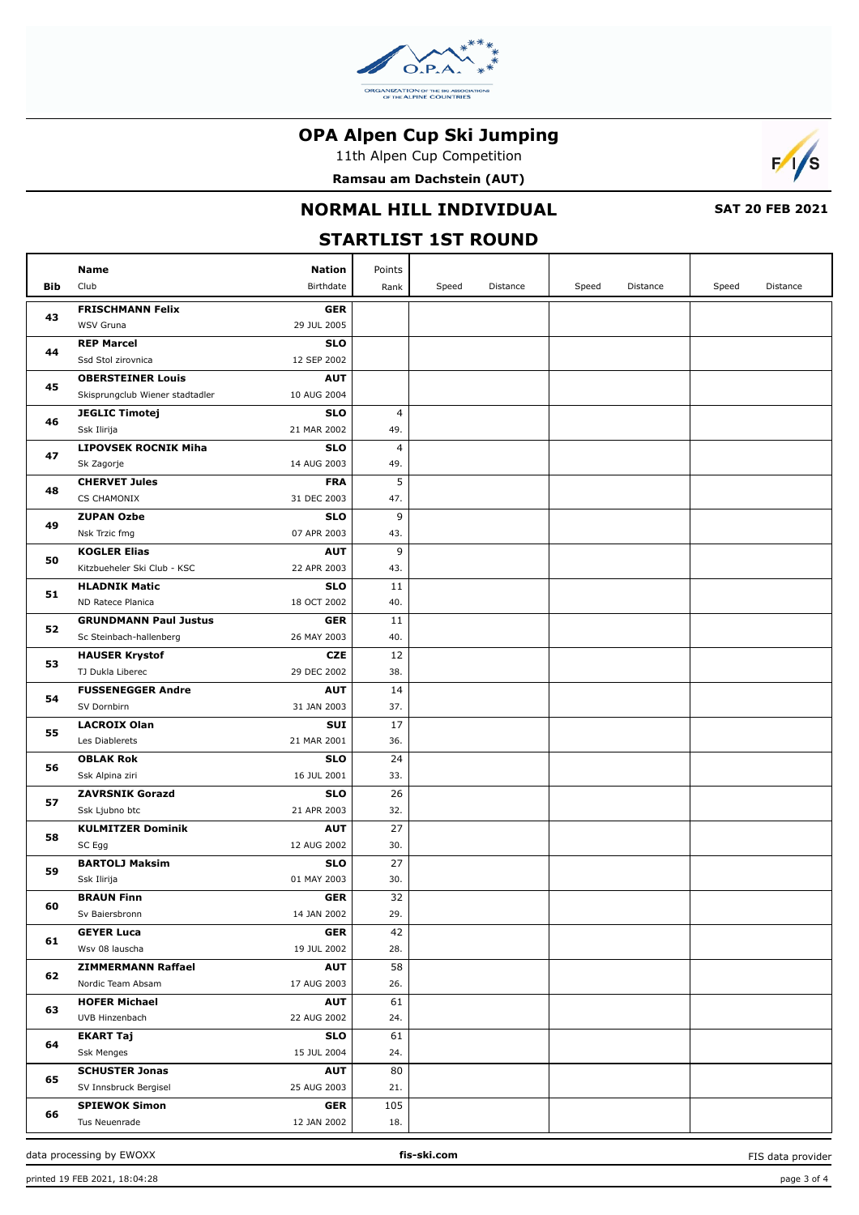

11th Alpen Cup Competition

**Ramsau am Dachstein (AUT)**



### **NORMAL HILL INDIVIDUAL**

 **SAT 20 FEB 2021**

# **STARTLIST 1ST ROUND**

| Bib | <b>Name</b><br>Club                 | <b>Nation</b><br>Birthdate | Points<br>Rank  | Speed | Distance | Speed | Distance | Speed | Distance |
|-----|-------------------------------------|----------------------------|-----------------|-------|----------|-------|----------|-------|----------|
| 43  | <b>FRISCHMANN Felix</b>             | <b>GER</b>                 |                 |       |          |       |          |       |          |
|     | WSV Gruna                           | 29 JUL 2005                |                 |       |          |       |          |       |          |
| 44  | <b>REP Marcel</b>                   | <b>SLO</b>                 |                 |       |          |       |          |       |          |
|     | Ssd Stol zirovnica                  | 12 SEP 2002                |                 |       |          |       |          |       |          |
| 45  | <b>OBERSTEINER Louis</b>            | <b>AUT</b>                 |                 |       |          |       |          |       |          |
|     | Skisprungclub Wiener stadtadler     | 10 AUG 2004                |                 |       |          |       |          |       |          |
| 46  | <b>JEGLIC Timotej</b>               | <b>SLO</b>                 | 4               |       |          |       |          |       |          |
|     | Ssk Ilirija                         | 21 MAR 2002                | 49.             |       |          |       |          |       |          |
| 47  | <b>LIPOVSEK ROCNIK Miha</b>         | <b>SLO</b>                 | 4               |       |          |       |          |       |          |
|     | Sk Zagorje                          | 14 AUG 2003                | 49.             |       |          |       |          |       |          |
| 48  | <b>CHERVET Jules</b>                | <b>FRA</b>                 | 5               |       |          |       |          |       |          |
|     | CS CHAMONIX                         | 31 DEC 2003                | 47.             |       |          |       |          |       |          |
| 49  | <b>ZUPAN Ozbe</b>                   | <b>SLO</b>                 | 9               |       |          |       |          |       |          |
|     | Nsk Trzic fmg                       | 07 APR 2003                | 43.             |       |          |       |          |       |          |
| 50  | <b>KOGLER Elias</b>                 | <b>AUT</b>                 | 9               |       |          |       |          |       |          |
|     | Kitzbueheler Ski Club - KSC         | 22 APR 2003                | 43.             |       |          |       |          |       |          |
| 51  | <b>HLADNIK Matic</b>                | <b>SLO</b>                 | 11              |       |          |       |          |       |          |
|     | ND Ratece Planica                   | 18 OCT 2002                | 40.             |       |          |       |          |       |          |
| 52  | <b>GRUNDMANN Paul Justus</b>        | <b>GER</b>                 | 11              |       |          |       |          |       |          |
|     | Sc Steinbach-hallenberg             | 26 MAY 2003                | 40.             |       |          |       |          |       |          |
| 53  | <b>HAUSER Krystof</b>               | <b>CZE</b>                 | 12              |       |          |       |          |       |          |
|     | TJ Dukla Liberec                    | 29 DEC 2002                | 38.             |       |          |       |          |       |          |
| 54  | <b>FUSSENEGGER Andre</b>            | <b>AUT</b>                 | 14              |       |          |       |          |       |          |
|     | SV Dornbirn                         | 31 JAN 2003                | 37.             |       |          |       |          |       |          |
| 55  | <b>LACROIX Olan</b>                 | SUI                        | 17              |       |          |       |          |       |          |
|     | Les Diablerets                      | 21 MAR 2001                | 36.             |       |          |       |          |       |          |
| 56  | <b>OBLAK Rok</b><br>Ssk Alpina ziri | <b>SLO</b><br>16 JUL 2001  | 24<br>33.       |       |          |       |          |       |          |
|     | <b>ZAVRSNIK Gorazd</b>              | <b>SLO</b>                 | 26              |       |          |       |          |       |          |
| 57  | Ssk Ljubno btc                      | 21 APR 2003                | 32.             |       |          |       |          |       |          |
|     | <b>KULMITZER Dominik</b>            | <b>AUT</b>                 | 27              |       |          |       |          |       |          |
| 58  | SC Egg                              | 12 AUG 2002                | 30.             |       |          |       |          |       |          |
|     | <b>BARTOLJ Maksim</b>               | <b>SLO</b>                 | 27              |       |          |       |          |       |          |
| 59  | Ssk Ilirija                         | 01 MAY 2003                | 30.             |       |          |       |          |       |          |
|     | <b>BRAUN Finn</b>                   | <b>GER</b>                 | $\overline{32}$ |       |          |       |          |       |          |
| 60  | Sv Baiersbronn                      | 14 JAN 2002                | 29.             |       |          |       |          |       |          |
|     | <b>GEYER Luca</b>                   | <b>GER</b>                 | 42              |       |          |       |          |       |          |
| 61  | Wsv 08 lauscha                      | 19 JUL 2002                | 28.             |       |          |       |          |       |          |
|     | <b>ZIMMERMANN Raffael</b>           | <b>AUT</b>                 | 58              |       |          |       |          |       |          |
| 62  | Nordic Team Absam                   | 17 AUG 2003                | 26.             |       |          |       |          |       |          |
| 63  | <b>HOFER Michael</b>                | <b>AUT</b>                 | 61              |       |          |       |          |       |          |
|     | UVB Hinzenbach                      | 22 AUG 2002                | 24.             |       |          |       |          |       |          |
|     | <b>EKART Taj</b>                    | SLO                        | 61              |       |          |       |          |       |          |
| 64  | Ssk Menges                          | 15 JUL 2004                | 24.             |       |          |       |          |       |          |
|     | <b>SCHUSTER Jonas</b>               | <b>AUT</b>                 | 80              |       |          |       |          |       |          |
| 65  | SV Innsbruck Bergisel               | 25 AUG 2003                | 21.             |       |          |       |          |       |          |
|     | <b>SPIEWOK Simon</b>                | <b>GER</b>                 | 105             |       |          |       |          |       |          |
| 66  | Tus Neuenrade                       | 12 JAN 2002                | 18.             |       |          |       |          |       |          |

FIS data provider